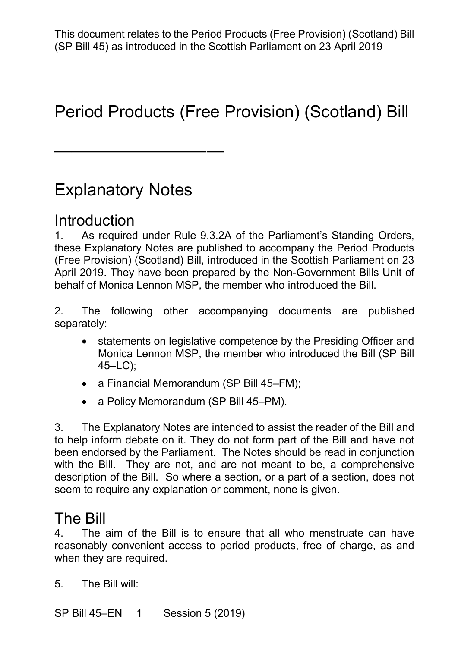# Period Products (Free Provision) (Scotland) Bill

## Explanatory Notes

——————————

#### **Introduction**

 1. As required under Rule 9.3.2A of the Parliament's Standing Orders, these Explanatory Notes are published to accompany the Period Products (Free Provision) (Scotland) Bill, introduced in the Scottish Parliament on 23 April 2019. They have been prepared by the Non-Government Bills Unit of behalf of Monica Lennon MSP, the member who introduced the Bill.

 2. The following other accompanying documents are published separately:

- • statements on legislative competence by the Presiding Officer and Monica Lennon MSP, the member who introduced the Bill (SP Bill 45–LC);
- a Financial Memorandum (SP Bill 45–FM);
- a Policy Memorandum (SP Bill 45–PM).

 been endorsed by the Parliament. The Notes should be read in conjunction with the Bill. They are not, and are not meant to be, a comprehensive description of the Bill. So where a section, or a part of a section, does not 3. The Explanatory Notes are intended to assist the reader of the Bill and to help inform debate on it. They do not form part of the Bill and have not seem to require any explanation or comment, none is given.

#### The Bill

 reasonably convenient access to period products, free of charge, as and when they are required.<br>5. The Bill will: 4. The aim of the Bill is to ensure that all who menstruate can have

SP Bill 45–EN 1 Session 5 (2019)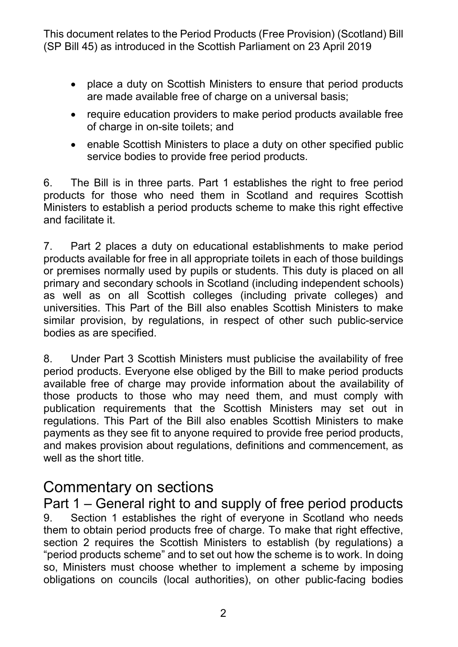- • place a duty on Scottish Ministers to ensure that period products are made available free of charge on a universal basis;
- require education providers to make period products available free of charge in on-site toilets; and
- • enable Scottish Ministers to place a duty on other specified public service bodies to provide free period products.

 6. The Bill is in three parts. Part 1 establishes the right to free period products for those who need them in Scotland and requires Scottish Ministers to establish a period products scheme to make this right effective and facilitate it.

 7. Part 2 places a duty on educational establishments to make period products available for free in all appropriate toilets in each of those buildings primary and secondary schools in Scotland (including independent schools) universities. This Part of the Bill also enables Scottish Ministers to make bodies as are specified. or premises normally used by pupils or students. This duty is placed on all as well as on all Scottish colleges (including private colleges) and similar provision, by regulations, in respect of other such public-service

 8. Under Part 3 Scottish Ministers must publicise the availability of free available free of charge may provide information about the availability of those products to those who may need them, and must comply with regulations. This Part of the Bill also enables Scottish Ministers to make payments as they see fit to anyone required to provide free period products, well as the short title. period products. Everyone else obliged by the Bill to make period products publication requirements that the Scottish Ministers may set out in and makes provision about regulations, definitions and commencement, as

#### Commentary on sections

 Part 1 – General right to and supply of free period products section 2 requires the Scottish Ministers to establish (by regulations) a so, Ministers must choose whether to implement a scheme by imposing 9. Section 1 establishes the right of everyone in Scotland who needs them to obtain period products free of charge. To make that right effective, "period products scheme" and to set out how the scheme is to work. In doing obligations on councils (local authorities), on other public-facing bodies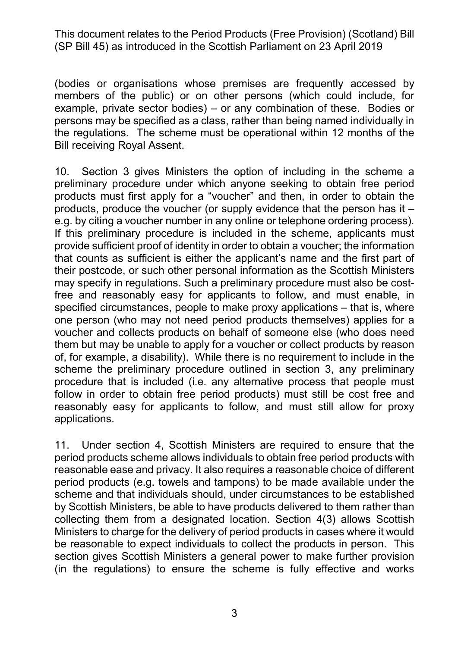members of the public) or on other persons (which could include, for example, private sector bodies) – or any combination of these. Bodies or persons may be specified as a class, rather than being named individually in the regulations. The scheme must be operational within 12 months of the **Bill receiving Royal Assent.** (bodies or organisations whose premises are frequently accessed by

 preliminary procedure under which anyone seeking to obtain free period products must first apply for a "voucher" and then, in order to obtain the products, produce the voucher (or supply evidence that the person has it – e.g. by citing a voucher number in any online or telephone ordering process). that counts as sufficient is either the applicant's name and the first part of their postcode, or such other personal information as the Scottish Ministers may specify in regulations. Such a preliminary procedure must also be cost- free and reasonably easy for applicants to follow, and must enable, in specified circumstances, people to make proxy applications – that is, where voucher and collects products on behalf of someone else (who does need them but may be unable to apply for a voucher or collect products by reason of, for example, a disability). While there is no requirement to include in the procedure that is included (i.e. any alternative process that people must follow in order to obtain free period products) must still be cost free and reasonably easy for applicants to follow, and must still allow for proxy 10. Section 3 gives Ministers the option of including in the scheme a If this preliminary procedure is included in the scheme, applicants must provide sufficient proof of identity in order to obtain a voucher; the information one person (who may not need period products themselves) applies for a scheme the preliminary procedure outlined in section 3, any preliminary applications.

 period products (e.g. towels and tampons) to be made available under the by Scottish Ministers, be able to have products delivered to them rather than Ministers to charge for the delivery of period products in cases where it would be reasonable to expect individuals to collect the products in person. This 11. Under section 4, Scottish Ministers are required to ensure that the period products scheme allows individuals to obtain free period products with reasonable ease and privacy. It also requires a reasonable choice of different scheme and that individuals should, under circumstances to be established collecting them from a designated location. Section 4(3) allows Scottish section gives Scottish Ministers a general power to make further provision (in the regulations) to ensure the scheme is fully effective and works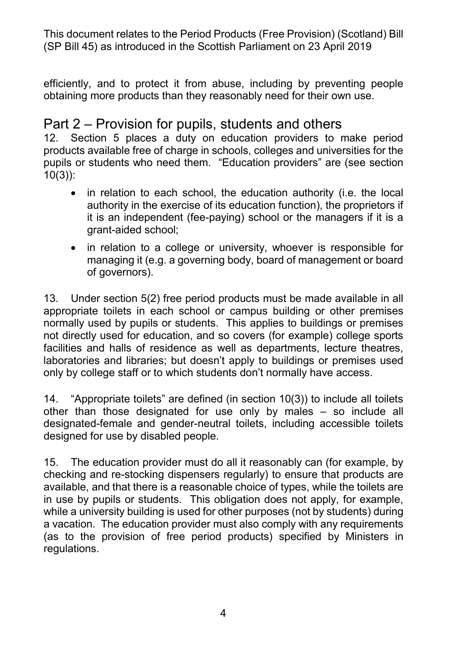efficiently, and to protect it from abuse, including by preventing people obtaining more products than they reasonably need for their own use.

#### Part 2 – Provision for pupils, students and others

 products available free of charge in schools, colleges and universities for the pupils or students who need them. "Education providers" are (see section 12. Section 5 places a duty on education providers to make period 10(3)):

- • in relation to each school, the education authority (i.e. the local authority in the exercise of its education function), the proprietors if it is an independent (fee-paying) school or the managers if it is a grant-aided school;
- • in relation to a college or university, whoever is responsible for managing it (e.g. a governing body, board of management or board of governors).

 appropriate toilets in each school or campus building or other premises normally used by pupils or students. This applies to buildings or premises not directly used for education, and so covers (for example) college sports facilities and halls of residence as well as departments, lecture theatres, laboratories and libraries; but doesn't apply to buildings or premises used 13. Under section 5(2) free period products must be made available in all only by college staff or to which students don't normally have access.

 14. "Appropriate toilets" are defined (in section 10(3)) to include all toilets other than those designated for use only by males – so include all designated-female and gender-neutral toilets, including accessible toilets designed for use by disabled people.

 15. The education provider must do all it reasonably can (for example, by checking and re-stocking dispensers regularly) to ensure that products are available, and that there is a reasonable choice of types, while the toilets are in use by pupils or students. This obligation does not apply, for example, while a university building is used for other purposes (not by students) during a vacation. The education provider must also comply with any requirements (as to the provision of free period products) specified by Ministers in regulations.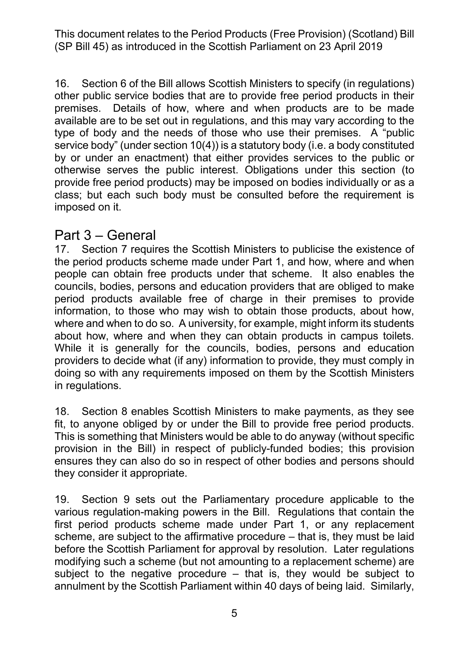16. Section 6 of the Bill allows Scottish Ministers to specify (in regulations) other public service bodies that are to provide free period products in their type of body and the needs of those who use their premises. A "public by or under an enactment) that either provides services to the public or otherwise serves the public interest. Obligations under this section (to provide free period products) may be imposed on bodies individually or as a imposed on it. premises. Details of how, where and when products are to be made available are to be set out in regulations, and this may vary according to the service body" (under section 10(4)) is a statutory body (i.e. a body constituted class; but each such body must be consulted before the requirement is

# imposed on it.<br>Part 3 – Ge<mark>neral</mark>

 people can obtain free products under that scheme. It also enables the period products available free of charge in their premises to provide information, to those who may wish to obtain those products, about how, where and when to do so. A university, for example, might inform its students about how, where and when they can obtain products in campus toilets. providers to decide what (if any) information to provide, they must comply in in regulations. 17. Section 7 requires the Scottish Ministers to publicise the existence of the period products scheme made under Part 1, and how, where and when councils, bodies, persons and education providers that are obliged to make While it is generally for the councils, bodies, persons and education doing so with any requirements imposed on them by the Scottish Ministers

in regulations.<br>18. Section 8 enables Scottish Ministers to make payments, as they see fit, to anyone obliged by or under the Bill to provide free period products. This is something that Ministers would be able to do anyway (without specific provision in the Bill) in respect of publicly-funded bodies; this provision ensures they can also do so in respect of other bodies and persons should they consider it appropriate.

 19. Section 9 sets out the Parliamentary procedure applicable to the various regulation-making powers in the Bill. Regulations that contain the first period products scheme made under Part 1, or any replacement before the Scottish Parliament for approval by resolution. Later regulations modifying such a scheme (but not amounting to a replacement scheme) are subject to the negative procedure – that is, they would be subject to annulment by the Scottish Parliament within 40 days of being laid. Similarly, scheme, are subject to the affirmative procedure – that is, they must be laid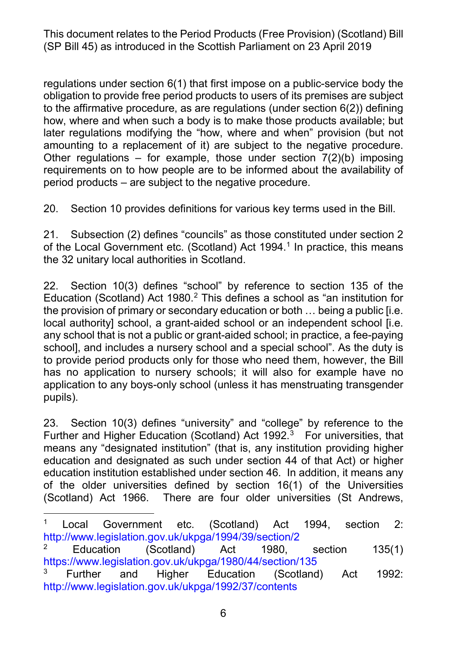regulations under section 6(1) that first impose on a public-service body the obligation to provide free period products to users of its premises are subject to the affirmative procedure, as are regulations (under section 6(2)) defining how, where and when such a body is to make those products available; but later regulations modifying the "how, where and when" provision (but not amounting to a replacement of it) are subject to the negative procedure. requirements on to how people are to be informed about the availability of period products – are subject to the negative procedure. Other requiations – for example, those under section  $7(2)(b)$  imposing

20. Section 10 provides definitions for various key terms used in the Bill.

 21. Subsection (2) defines "councils" as those constituted under section 2 of the Local Government etc. (Scotland) Act 1994. $^1$  In practice, this means the 32 unitary local authorities in Scotland.

 22. Section 10(3) defines "school" by reference to section 135 of the Education (Scotland) Act 1980.<sup>[2](#page-5-1)</sup> This defines a school as "an institution for the provision of primary or secondary education or both … being a public [i.e. any school that is not a public or grant-aided school; in practice, a fee-paying school], and includes a nursery school and a special school". As the duty is local authority] school, a grant-aided school or an independent school [i.e. to provide period products only for those who need them, however, the Bill has no application to nursery schools; it will also for example have no application to any boys-only school (unless it has menstruating transgender pupils).

 23. Section 10(3) defines "university" and "college" by reference to the Further and Higher Education (Scotland) Act 1992. $3$  For universities, that means any "designated institution" (that is, any institution providing higher education and designated as such under section 44 of that Act) or higher education institution established under section 46. In addition, it means any of the older universities defined by section 16(1) of the Universities (Scotland) Act 1966. There are four older universities (St Andrews,

<span id="page-5-0"></span> $\overline{a}$  <http://www.legislation.gov.uk/ukpga/1994/39/section/2> 1 Local Government etc. (Scotland) Act 1994, section 2:

<span id="page-5-1"></span> <https://www.legislation.gov.uk/ukpga/1980/44/section/135> <sup>2</sup> Education (Scotland) Act 1980, section 135(1)

<span id="page-5-2"></span><sup>&</sup>lt;sup>3</sup> Further and Higher Education (Scotland) Act 1992: <http://www.legislation.gov.uk/ukpga/1992/37/contents>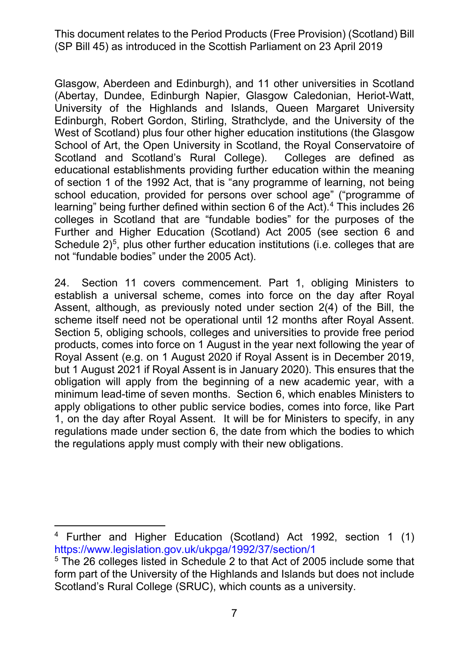(Abertay, Dundee, Edinburgh Napier, Glasgow Caledonian, Heriot-Watt, West of Scotland) plus four other higher education institutions (the Glasgow School of Art, the Open University in Scotland, the Royal Conservatoire of Scotland and Scotland's Rural College). Colleges are defined as educational establishments providing further education within the meaning of section 1 of the 1992 Act, that is "any programme of learning, not being learning" being further defined within section 6 of the Act). $^4$  This includes 26 Further and Higher Education (Scotland) Act 2005 (see section 6 and not "fundable bodies" under the 2005 Act). Glasgow, Aberdeen and Edinburgh), and 11 other universities in Scotland University of the Highlands and Islands, Queen Margaret University Edinburgh, Robert Gordon, Stirling, Strathclyde, and the University of the school education, provided for persons over school age" ("programme of colleges in Scotland that are "fundable bodies" for the purposes of the Schedule  $2)^5$  $2)^5$ , plus other further education institutions (i.e. colleges that are

 24. Section 11 covers commencement. Part 1, obliging Ministers to establish a universal scheme, comes into force on the day after Royal Assent, although, as previously noted under section 2(4) of the Bill, the Section 5, obliging schools, colleges and universities to provide free period Royal Assent (e.g. on 1 August 2020 if Royal Assent is in December 2019, but 1 August 2021 if Royal Assent is in January 2020). This ensures that the minimum lead-time of seven months. Section 6, which enables Ministers to 1, on the day after Royal Assent. It will be for Ministers to specify, in any scheme itself need not be operational until 12 months after Royal Assent. products, comes into force on 1 August in the year next following the year of obligation will apply from the beginning of a new academic year, with a apply obligations to other public service bodies, comes into force, like Part regulations made under section 6, the date from which the bodies to which the regulations apply must comply with their new obligations.

<span id="page-6-0"></span> $\overline{a}$  <https://www.legislation.gov.uk/ukpga/1992/37/section/1> <sup>4</sup> Further and Higher Education (Scotland) Act 1992, section 1 (1)

<span id="page-6-1"></span> form part of the University of the Highlands and Islands but does not include Scotland's Rural College (SRUC), which counts as a university. 7 5 The 26 colleges listed in Schedule 2 to that Act of 2005 include some that